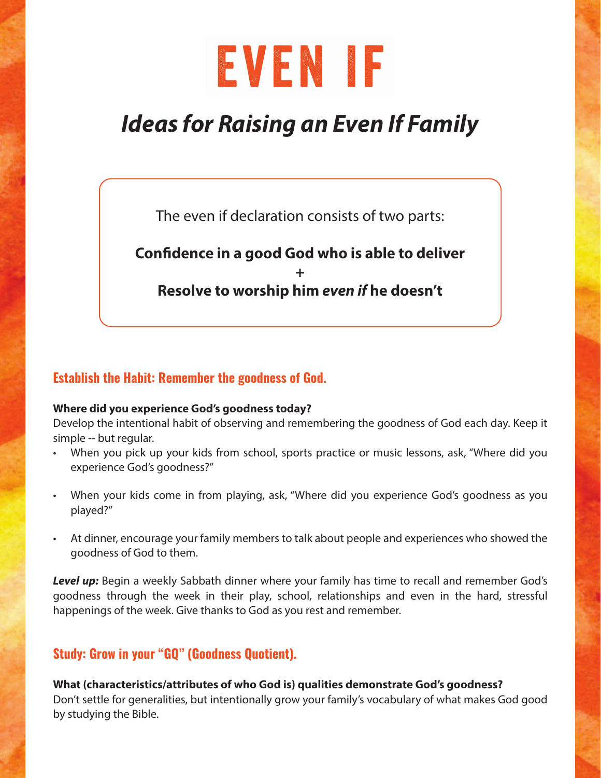# EVENIF

# *Ideas for Raising an Even If Family*

The even if declaration consists of two parts:

# **Confidence in a good God who is able to deliver + Resolve to worship him** *even if* **he doesn't**

## Establish the Habit: Remember the goodness of God.

#### **Where did you experience God's goodness today?**

Develop the intentional habit of observing and remembering the goodness of God each day. Keep it simple -- but regular.

- When you pick up your kids from school, sports practice or music lessons, ask, "Where did you experience God's goodness?"
- When your kids come in from playing, ask, "Where did you experience God's goodness as you played?"
- At dinner, encourage your family members to talk about people and experiences who showed the goodness of God to them.

*Level up:* Begin a weekly Sabbath dinner where your family has time to recall and remember God's goodness through the week in their play, school, relationships and even in the hard, stressful happenings of the week. Give thanks to God as you rest and remember.

### Study: Grow in your "GQ" (Goodness Quotient).

**What (characteristics/attributes of who God is) qualities demonstrate God's goodness?**  Don't settle for generalities, but intentionally grow your family's vocabulary of what makes God good by studying the Bible.